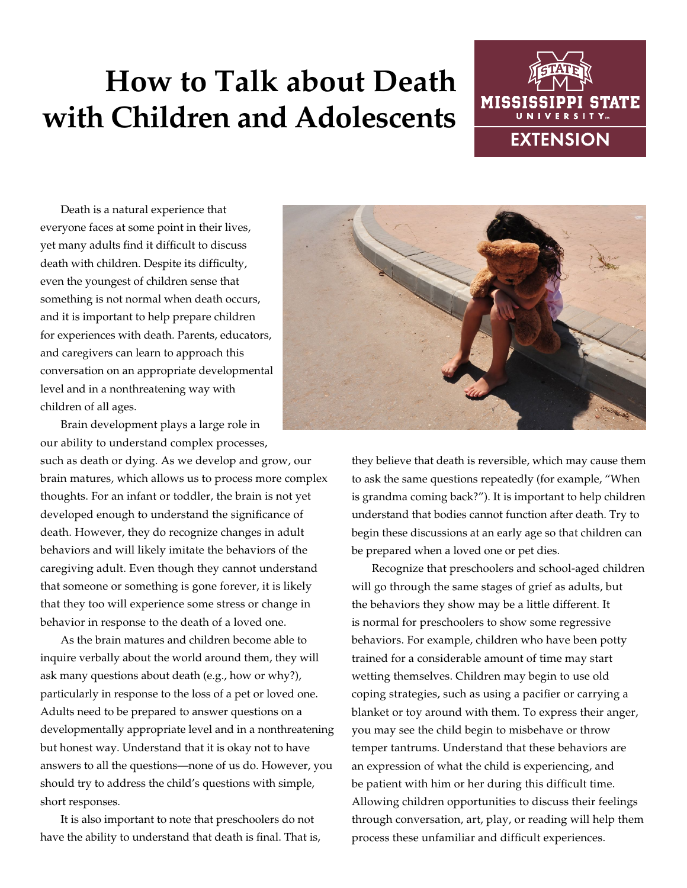# **How to Talk about Death with Children and Adolescents**



Death is a natural experience that everyone faces at some point in their lives, yet many adults find it difficult to discuss death with children. Despite its difficulty, even the youngest of children sense that something is not normal when death occurs, and it is important to help prepare children for experiences with death. Parents, educators, and caregivers can learn to approach this conversation on an appropriate developmental level and in a nonthreatening way with children of all ages.



Brain development plays a large role in our ability to understand complex processes, such as death or dying. As we develop and grow, our brain matures, which allows us to process more complex thoughts. For an infant or toddler, the brain is not yet developed enough to understand the significance of

death. However, they do recognize changes in adult behaviors and will likely imitate the behaviors of the caregiving adult. Even though they cannot understand that someone or something is gone forever, it is likely that they too will experience some stress or change in behavior in response to the death of a loved one.

As the brain matures and children become able to inquire verbally about the world around them, they will ask many questions about death (e.g., how or why?), particularly in response to the loss of a pet or loved one. Adults need to be prepared to answer questions on a developmentally appropriate level and in a nonthreatening but honest way. Understand that it is okay not to have answers to all the questions—none of us do. However, you should try to address the child's questions with simple, short responses.

It is also important to note that preschoolers do not have the ability to understand that death is final. That is,

they believe that death is reversible, which may cause them to ask the same questions repeatedly (for example, "When is grandma coming back?"). It is important to help children understand that bodies cannot function after death. Try to begin these discussions at an early age so that children can be prepared when a loved one or pet dies.

Recognize that preschoolers and school-aged children will go through the same stages of grief as adults, but the behaviors they show may be a little different. It is normal for preschoolers to show some regressive behaviors. For example, children who have been potty trained for a considerable amount of time may start wetting themselves. Children may begin to use old coping strategies, such as using a pacifier or carrying a blanket or toy around with them. To express their anger, you may see the child begin to misbehave or throw temper tantrums. Understand that these behaviors are an expression of what the child is experiencing, and be patient with him or her during this difficult time. Allowing children opportunities to discuss their feelings through conversation, art, play, or reading will help them process these unfamiliar and difficult experiences.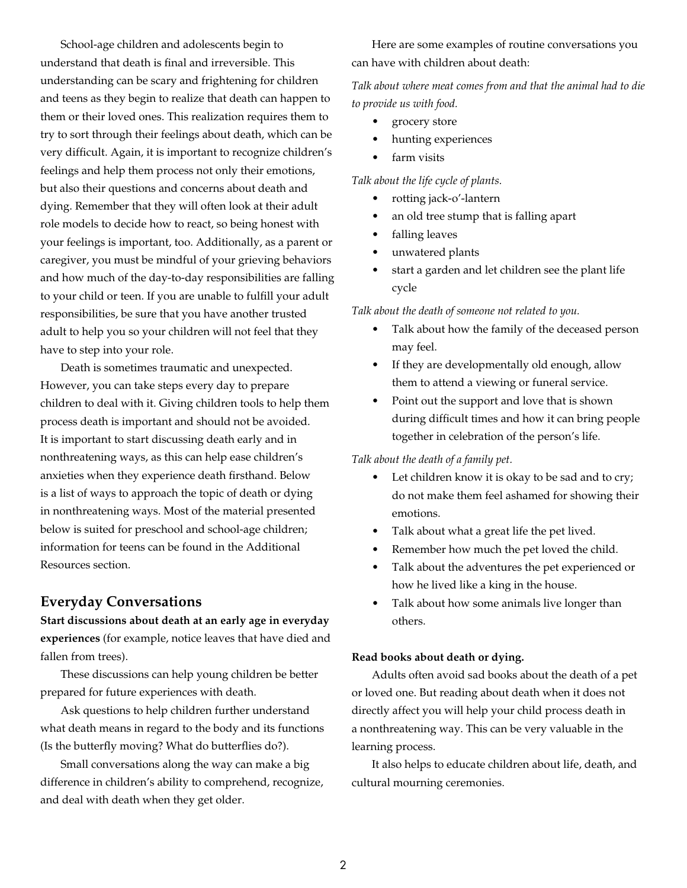School-age children and adolescents begin to understand that death is final and irreversible. This understanding can be scary and frightening for children and teens as they begin to realize that death can happen to them or their loved ones. This realization requires them to try to sort through their feelings about death, which can be very difficult. Again, it is important to recognize children's feelings and help them process not only their emotions, but also their questions and concerns about death and dying. Remember that they will often look at their adult role models to decide how to react, so being honest with your feelings is important, too. Additionally, as a parent or caregiver, you must be mindful of your grieving behaviors and how much of the day-to-day responsibilities are falling to your child or teen. If you are unable to fulfill your adult responsibilities, be sure that you have another trusted adult to help you so your children will not feel that they have to step into your role.

Death is sometimes traumatic and unexpected. However, you can take steps every day to prepare children to deal with it. Giving children tools to help them process death is important and should not be avoided. It is important to start discussing death early and in nonthreatening ways, as this can help ease children's anxieties when they experience death firsthand. Below is a list of ways to approach the topic of death or dying in nonthreatening ways. Most of the material presented below is suited for preschool and school-age children; information for teens can be found in the Additional Resources section.

## **Everyday Conversations**

**Start discussions about death at an early age in everyday experiences** (for example, notice leaves that have died and fallen from trees).

These discussions can help young children be better prepared for future experiences with death.

Ask questions to help children further understand what death means in regard to the body and its functions (Is the butterfly moving? What do butterflies do?).

Small conversations along the way can make a big difference in children's ability to comprehend, recognize, and deal with death when they get older.

Here are some examples of routine conversations you can have with children about death:

*Talk about where meat comes from and that the animal had to die to provide us with food.* 

- grocery store
- hunting experiences
- farm visits

*Talk about the life cycle of plants.*

- rotting jack-o'-lantern
- an old tree stump that is falling apart
- falling leaves
- unwatered plants
- start a garden and let children see the plant life cycle

*Talk about the death of someone not related to you.*

- Talk about how the family of the deceased person may feel.
- If they are developmentally old enough, allow them to attend a viewing or funeral service.
- Point out the support and love that is shown during difficult times and how it can bring people together in celebration of the person's life.

### *Talk about the death of a family pet.*

- Let children know it is okay to be sad and to cry; do not make them feel ashamed for showing their emotions.
- Talk about what a great life the pet lived.
- Remember how much the pet loved the child.
- Talk about the adventures the pet experienced or how he lived like a king in the house.
- Talk about how some animals live longer than others.

#### **Read books about death or dying.**

Adults often avoid sad books about the death of a pet or loved one. But reading about death when it does not directly affect you will help your child process death in a nonthreatening way. This can be very valuable in the learning process.

It also helps to educate children about life, death, and cultural mourning ceremonies.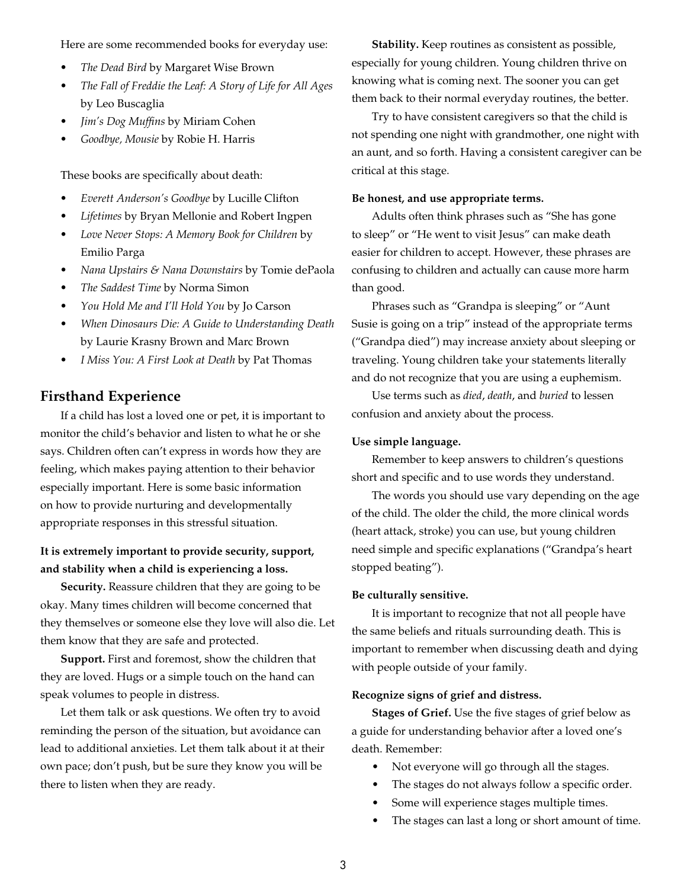Here are some recommended books for everyday use:

- *• The Dead Bird* by Margaret Wise Brown
- *• The Fall of Freddie the Leaf: A Story of Life for All Ages* by Leo Buscaglia
- *• Jim's Dog Muffins* by Miriam Cohen
- *• Goodbye, Mousie* by Robie H. Harris

These books are specifically about death:

- *• Everett Anderson's Goodbye* by Lucille Clifton
- *• Lifetimes* by Bryan Mellonie and Robert Ingpen
- *• Love Never Stops: A Memory Book for Children* by Emilio Parga
- *• Nana Upstairs & Nana Downstairs* by Tomie dePaola
- *• The Saddest Time* by Norma Simon
- *• You Hold Me and I'll Hold You* by Jo Carson
- *• When Dinosaurs Die: A Guide to Understanding Death* by Laurie Krasny Brown and Marc Brown
- *• I Miss You: A First Look at Death* by Pat Thomas

## **Firsthand Experience**

If a child has lost a loved one or pet, it is important to monitor the child's behavior and listen to what he or she says. Children often can't express in words how they are feeling, which makes paying attention to their behavior especially important. Here is some basic information on how to provide nurturing and developmentally appropriate responses in this stressful situation.

## **It is extremely important to provide security, support, and stability when a child is experiencing a loss.**

**Security.** Reassure children that they are going to be okay. Many times children will become concerned that they themselves or someone else they love will also die. Let them know that they are safe and protected.

**Support.** First and foremost, show the children that they are loved. Hugs or a simple touch on the hand can speak volumes to people in distress.

Let them talk or ask questions. We often try to avoid reminding the person of the situation, but avoidance can lead to additional anxieties. Let them talk about it at their own pace; don't push, but be sure they know you will be there to listen when they are ready.

**Stability.** Keep routines as consistent as possible, especially for young children. Young children thrive on knowing what is coming next. The sooner you can get them back to their normal everyday routines, the better.

Try to have consistent caregivers so that the child is not spending one night with grandmother, one night with an aunt, and so forth. Having a consistent caregiver can be critical at this stage.

#### **Be honest, and use appropriate terms.**

Adults often think phrases such as "She has gone to sleep" or "He went to visit Jesus" can make death easier for children to accept. However, these phrases are confusing to children and actually can cause more harm than good.

Phrases such as "Grandpa is sleeping" or "Aunt Susie is going on a trip" instead of the appropriate terms ("Grandpa died") may increase anxiety about sleeping or traveling. Young children take your statements literally and do not recognize that you are using a euphemism.

Use terms such as *died*, *death*, and *buried* to lessen confusion and anxiety about the process.

#### **Use simple language.**

Remember to keep answers to children's questions short and specific and to use words they understand.

The words you should use vary depending on the age of the child. The older the child, the more clinical words (heart attack, stroke) you can use, but young children need simple and specific explanations ("Grandpa's heart stopped beating").

#### **Be culturally sensitive.**

It is important to recognize that not all people have the same beliefs and rituals surrounding death. This is important to remember when discussing death and dying with people outside of your family.

#### **Recognize signs of grief and distress.**

**Stages of Grief.** Use the five stages of grief below as a guide for understanding behavior after a loved one's death. Remember:

- Not everyone will go through all the stages.
- The stages do not always follow a specific order.
- Some will experience stages multiple times.
- The stages can last a long or short amount of time.